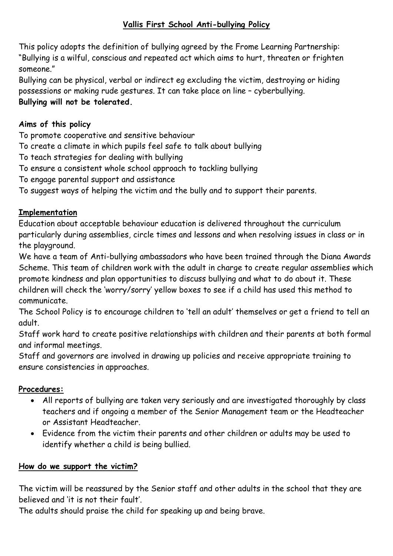### **Vallis First School Anti-bullying Policy**

This policy adopts the definition of bullying agreed by the Frome Learning Partnership: "Bullying is a wilful, conscious and repeated act which aims to hurt, threaten or frighten someone."

Bullying can be physical, verbal or indirect eg excluding the victim, destroying or hiding possessions or making rude gestures. It can take place on line – cyberbullying.

## **Bullying will not be tolerated.**

### **Aims of this policy**

To promote cooperative and sensitive behaviour

To create a climate in which pupils feel safe to talk about bullying

To teach strategies for dealing with bullying

To ensure a consistent whole school approach to tackling bullying

To engage parental support and assistance

To suggest ways of helping the victim and the bully and to support their parents.

### **Implementation**

Education about acceptable behaviour education is delivered throughout the curriculum particularly during assemblies, circle times and lessons and when resolving issues in class or in the playground.

We have a team of Anti-bullying ambassadors who have been trained through the Diana Awards Scheme. This team of children work with the adult in charge to create regular assemblies which promote kindness and plan opportunities to discuss bullying and what to do about it. These children will check the 'worry/sorry' yellow boxes to see if a child has used this method to communicate.

The School Policy is to encourage children to 'tell an adult' themselves or get a friend to tell an adult.

Staff work hard to create positive relationships with children and their parents at both formal and informal meetings.

Staff and governors are involved in drawing up policies and receive appropriate training to ensure consistencies in approaches.

### **Procedures:**

- All reports of bullying are taken very seriously and are investigated thoroughly by class teachers and if ongoing a member of the Senior Management team or the Headteacher or Assistant Headteacher.
- Evidence from the victim their parents and other children or adults may be used to identify whether a child is being bullied.

### **How do we support the victim?**

The victim will be reassured by the Senior staff and other adults in the school that they are believed and 'it is not their fault'.

The adults should praise the child for speaking up and being brave.